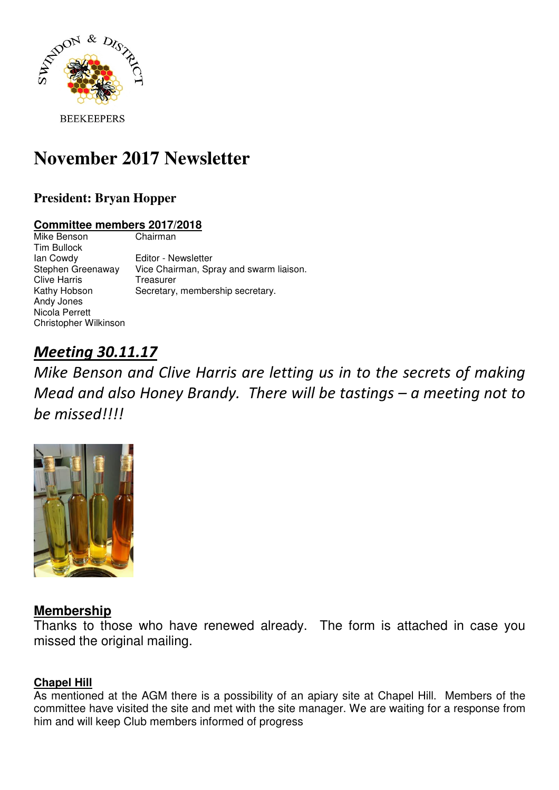

# **November 2017 Newsletter**

# **President: Bryan Hopper**

#### **Committee members 2017/2018**

Mike Benson Chairman Tim Bullock Ian Cowdy<br>Stephen Greenaway Vice Chairman, Sp Vice Chairman, Spray and swarm liaison. Clive Harris Treasurer Kathy Hobson Secretary, membership secretary. Andy Jones Nicola Perrett Christopher Wilkinson

# Meeting 30.11.17

Mike Benson and Clive Harris are letting us in to the secrets of making Mead and also Honey Brandy. There will be tastings – a meeting not to be missed!!!!



# **Membership**

Thanks to those who have renewed already. The form is attached in case you missed the original mailing.

### **Chapel Hill**

As mentioned at the AGM there is a possibility of an apiary site at Chapel Hill. Members of the committee have visited the site and met with the site manager. We are waiting for a response from him and will keep Club members informed of progress